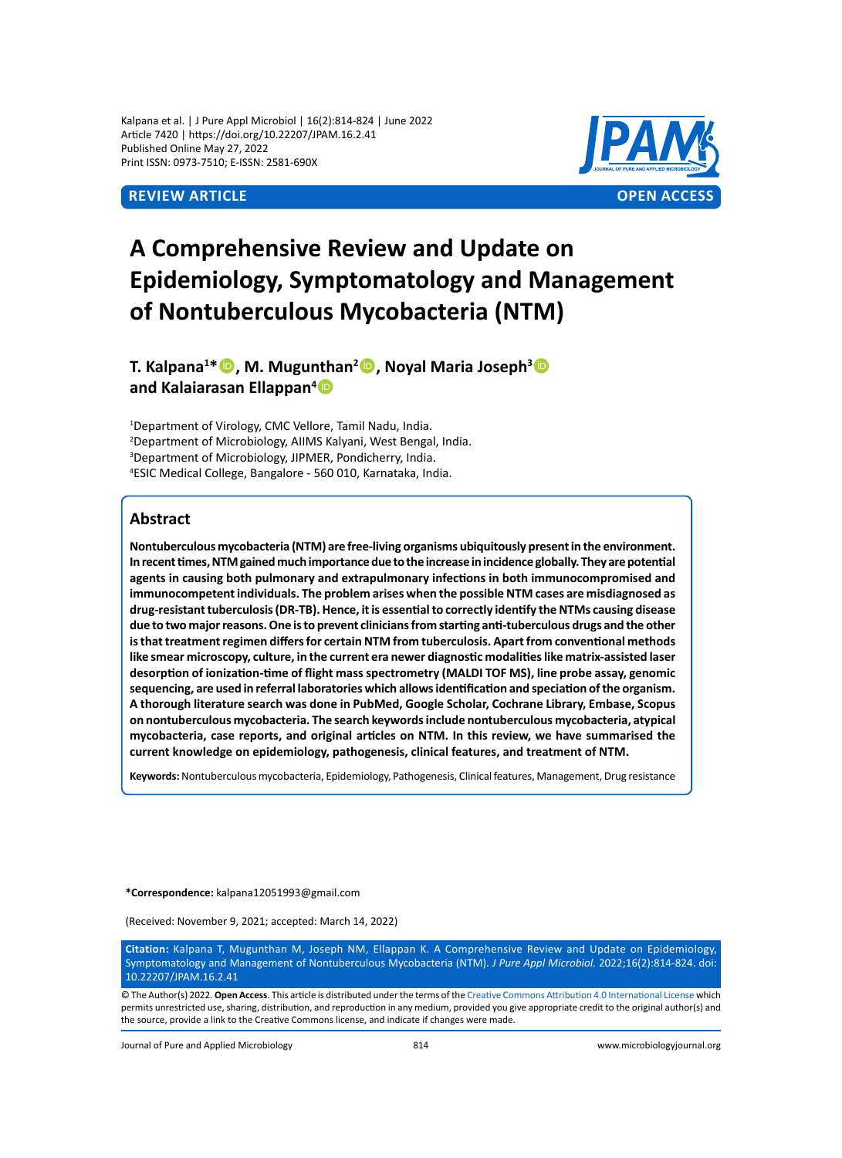Kalpana et al. | J Pure Appl Microbiol | 16(2):814-824 | June 2022 Article 7420 | https://doi.org/10.22207/JPAM.16.2.41 Published Online May 27, 2022 Print ISSN: 0973-7510; E-ISSN: 2581-690X



# **A Comprehensive Review and Update on Epidemiology, Symptomatology and Management of Nontuberculous Mycobacteria (NTM)**

**T. Kalpana1 \*, M. Mugunthan2 , Noyal Maria Joseph3 and Kalaiarasan Ellappan4**

 Department of Virology, CMC Vellore, Tamil Nadu, India. Department of Microbiology, AIIMS Kalyani, West Bengal, India. Department of Microbiology, JIPMER, Pondicherry, India. ESIC Medical College, Bangalore - 560 010, Karnataka, India.

# **Abstract**

**Nontuberculous mycobacteria (NTM) are free-living organisms ubiquitously present in the environment. In recent times, NTM gained much importance due to the increase in incidence globally. They are potential agents in causing both pulmonary and extrapulmonary infections in both immunocompromised and immunocompetent individuals. The problem arises when the possible NTM cases are misdiagnosed as drug-resistant tuberculosis (DR-TB). Hence, it is essential to correctly identify the NTMs causing disease due to two major reasons. One is to prevent clinicians from starting anti-tuberculous drugs and the other is that treatment regimen differs for certain NTM from tuberculosis. Apart from conventional methods like smear microscopy, culture, in the current era newer diagnostic modalities like matrix-assisted laser desorption of ionization-time of flight mass spectrometry (MALDI TOF MS), line probe assay, genomic sequencing, are used in referral laboratories which allows identification and speciation of the organism. A thorough literature search was done in PubMed, Google Scholar, Cochrane Library, Embase, Scopus on nontuberculous mycobacteria. The search keywords include nontuberculous mycobacteria, atypical mycobacteria, case reports, and original articles on NTM. In this review, we have summarised the current knowledge on epidemiology, pathogenesis, clinical features, and treatment of NTM.**

**Keywords:** Nontuberculous mycobacteria, Epidemiology, Pathogenesis, Clinical features, Management, Drug resistance

**\*Correspondence:** kalpana12051993@gmail.com

(Received: November 9, 2021; accepted: March 14, 2022)

**Citation:** Kalpana T, Mugunthan M, Joseph NM, Ellappan K. A Comprehensive Review and Update on Epidemiology, Symptomatology and Management of Nontuberculous Mycobacteria (NTM). *J Pure Appl Microbiol.* 2022;16(2):814-824. doi: 10.22207/JPAM.16.2.41

© The Author(s) 2022. **Open Access**. This article is distributed under the terms of the [Creative Commons Attribution 4.0 International License](https://creativecommons.org/licenses/by/4.0/) which permits unrestricted use, sharing, distribution, and reproduction in any medium, provided you give appropriate credit to the original author(s) and the source, provide a link to the Creative Commons license, and indicate if changes were made.

Journal of Pure and Applied Microbiology 814 www.microbiologyjournal.org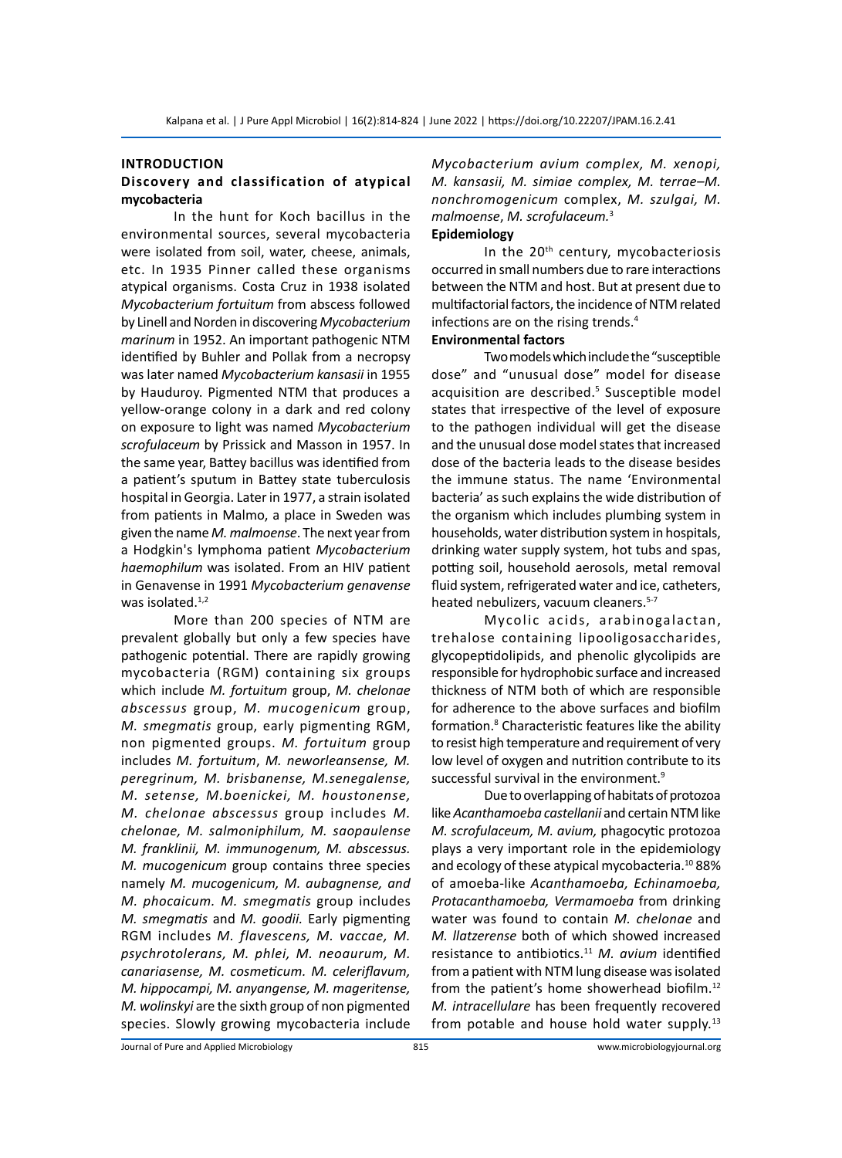#### **Introduction**

# **Discovery and classification of atypical mycobacteria**

In the hunt for Koch bacillus in the environmental sources, several mycobacteria were isolated from soil, water, cheese, animals, etc. In 1935 Pinner called these organisms atypical organisms. Costa Cruz in 1938 isolated *Mycobacterium fortuitum* from abscess followed by Linell and Norden in discovering *Mycobacterium marinum* in 1952. An important pathogenic NTM identified by Buhler and Pollak from a necropsy was later named *Mycobacterium kansasii* in 1955 by Hauduroy. Pigmented NTM that produces a yellow-orange colony in a dark and red colony on exposure to light was named *Mycobacterium scrofulaceum* by Prissick and Masson in 1957. In the same year, Battey bacillus was identified from a patient's sputum in Battey state tuberculosis hospital in Georgia. Later in 1977, a strain isolated from patients in Malmo, a place in Sweden was given the name *M. malmoense*. The next year from a Hodgkin's lymphoma patient *Mycobacterium haemophilum* was isolated. From an HIV patient in Genavense in 1991 *Mycobacterium genavense* was isolated. $1,2$ 

More than 200 species of NTM are prevalent globally but only a few species have pathogenic potential. There are rapidly growing mycobacteria (RGM) containing six groups which include *M. fortuitum* group, *M. chelonae abscessus* group, *M. mucogenicum* group, *M. smegmatis* group, early pigmenting RGM, non pigmented groups. *M. fortuitum* group includes *M. fortuitum*, *M. neworleansense, M. peregrinum, M. brisbanense, M.senegalense, M. setense, M.boenickei, M. houstonense, M. chelonae abscessus* group includes *M. chelonae, M. salmoniphilum, M. saopaulense M. franklinii, M. immunogenum, M. abscessus. M. mucogenicum* group contains three species namely *M. mucogenicum, M. aubagnense, and M. phocaicum. M. smegmatis* group includes *M. smegmatis* and *M. goodii.* Early pigmenting RGM includes *M. flavescens, M. vaccae, M. psychrotolerans, M. phlei, M. neoaurum, M. canariasense, M. cosmeticum. M. celeriflavum, M. hippocampi, M. anyangense, M. mageritense, M. wolinskyi* are the sixth group of non pigmented species. Slowly growing mycobacteria include *Mycobacterium avium complex, M. xenopi, M. kansasii, M. simiae complex, M. terrae–M. nonchromogenicum* complex, *M. szulgai, M. malmoense*, *M. scrofulaceum.*<sup>3</sup>

# **Epidemiology**

In the 20<sup>th</sup> century, mycobacteriosis occurred in small numbers due to rare interactions between the NTM and host. But at present due to multifactorial factors, the incidence of NTM related infections are on the rising trends.<sup>4</sup>

# **Environmental factors**

Two models which include the "susceptible dose" and "unusual dose" model for disease acquisition are described.<sup>5</sup> Susceptible model states that irrespective of the level of exposure to the pathogen individual will get the disease and the unusual dose model states that increased dose of the bacteria leads to the disease besides the immune status. The name 'Environmental bacteria' as such explains the wide distribution of the organism which includes plumbing system in households, water distribution system in hospitals, drinking water supply system, hot tubs and spas, potting soil, household aerosols, metal removal fluid system, refrigerated water and ice, catheters, heated nebulizers, vacuum cleaners.<sup>5-7</sup>

Mycolic acids, arabinogalactan, trehalose containing lipooligosaccharides, glycopeptidolipids, and phenolic glycolipids are responsible for hydrophobic surface and increased thickness of NTM both of which are responsible for adherence to the above surfaces and biofilm formation.<sup>8</sup> Characteristic features like the ability to resist high temperature and requirement of very low level of oxygen and nutrition contribute to its successful survival in the environment.<sup>9</sup>

Due to overlapping of habitats of protozoa like *Acanthamoeba castellanii* and certain NTM like *M. scrofulaceum, M. avium,* phagocytic protozoa plays a very important role in the epidemiology and ecology of these atypical mycobacteria.<sup>10</sup>88% of amoeba-like *Acanthamoeba, Echinamoeba, Protacanthamoeba, Vermamoeba* from drinking water was found to contain *M. chelonae* and *M. llatzerense* both of which showed increased resistance to antibiotics.<sup>11</sup> *M. avium* identified from a patient with NTM lung disease was isolated from the patient's home showerhead biofilm.<sup>12</sup> *M. intracellulare* has been frequently recovered from potable and house hold water supply.<sup>13</sup>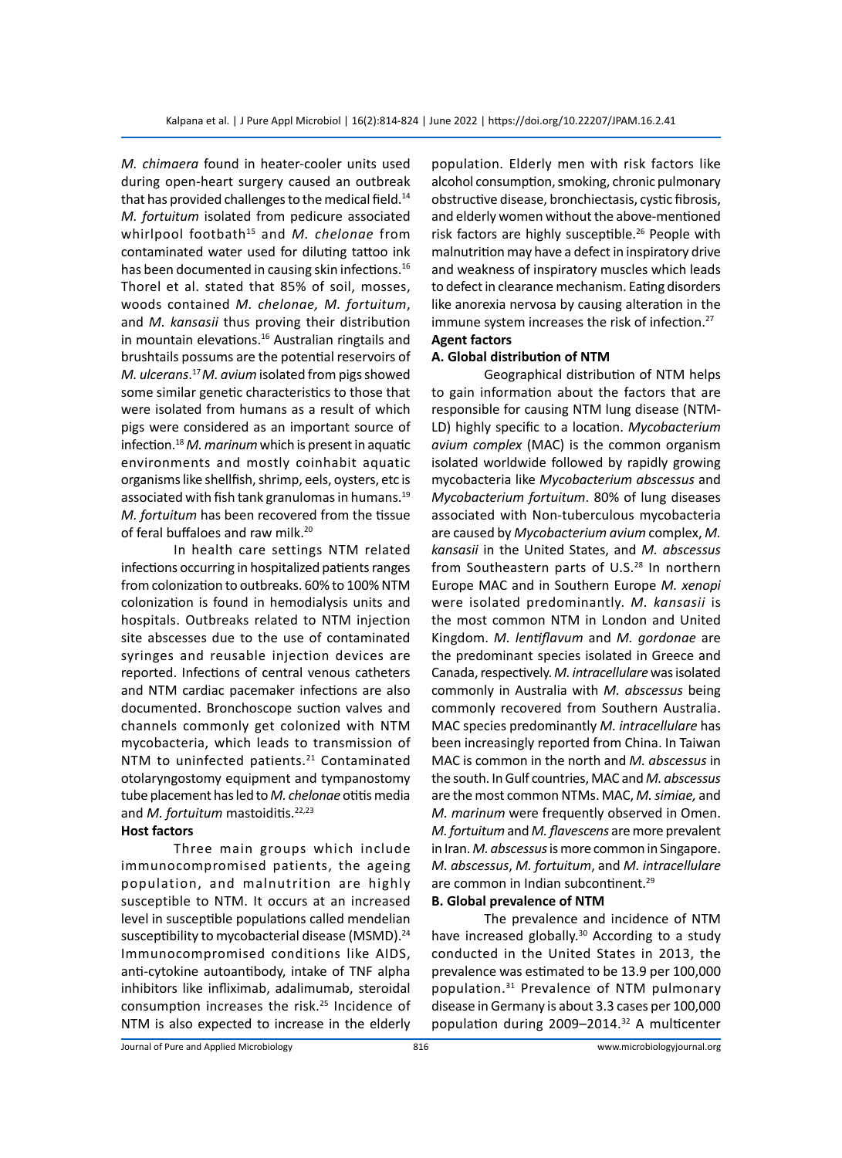*M. chimaera* found in heater-cooler units used during open-heart surgery caused an outbreak that has provided challenges to the medical field.<sup>14</sup> *M. fortuitum* isolated from pedicure associated whirlpool footbath15 and *M. chelonae* from contaminated water used for diluting tattoo ink has been documented in causing skin infections.<sup>16</sup> Thorel et al. stated that 85% of soil, mosses, woods contained *M. chelonae, M. fortuitum*, and *M. kansasii* thus proving their distribution in mountain elevations.<sup>16</sup> Australian ringtails and brushtails possums are the potential reservoirs of *M. ulcerans*. <sup>17</sup>*M. avium* isolated from pigs showed some similar genetic characteristics to those that were isolated from humans as a result of which pigs were considered as an important source of infection.<sup>18</sup> *M. marinum* which is present in aquatic environments and mostly coinhabit aquatic organisms like shellfish, shrimp, eels, oysters, etc is associated with fish tank granulomas in humans.<sup>19</sup> *M. fortuitum* has been recovered from the tissue of feral buffaloes and raw milk.<sup>20</sup>

In health care settings NTM related infections occurring in hospitalized patients ranges from colonization to outbreaks. 60% to 100% NTM colonization is found in hemodialysis units and hospitals. Outbreaks related to NTM injection site abscesses due to the use of contaminated syringes and reusable injection devices are reported. Infections of central venous catheters and NTM cardiac pacemaker infections are also documented. Bronchoscope suction valves and channels commonly get colonized with NTM mycobacteria, which leads to transmission of NTM to uninfected patients.<sup>21</sup> Contaminated otolaryngostomy equipment and tympanostomy tube placement has led to *M. chelonae* otitis media and *M. fortuitum* mastoiditis.<sup>22,23</sup>

## **Host factors**

Three main groups which include immunocompromised patients, the ageing population, and malnutrition are highly susceptible to NTM. It occurs at an increased level in susceptible populations called mendelian susceptibility to mycobacterial disease (MSMD).<sup>24</sup> Immunocompromised conditions like AIDS, anti-cytokine autoantibody, intake of TNF alpha inhibitors like infliximab, adalimumab, steroidal consumption increases the risk.<sup>25</sup> Incidence of NTM is also expected to increase in the elderly population. Elderly men with risk factors like alcohol consumption, smoking, chronic pulmonary obstructive disease, bronchiectasis, cystic fibrosis, and elderly women without the above-mentioned risk factors are highly susceptible.<sup>26</sup> People with malnutrition may have a defect in inspiratory drive and weakness of inspiratory muscles which leads to defect in clearance mechanism. Eating disorders like anorexia nervosa by causing alteration in the immune system increases the risk of infection.<sup>27</sup> **Agent factors**

#### **A. Global distribution of NTM**

Geographical distribution of NTM helps to gain information about the factors that are responsible for causing NTM lung disease (NTM-LD) highly specific to a location. *Mycobacterium avium complex* (MAC) is the common organism isolated worldwide followed by rapidly growing mycobacteria like *Mycobacterium abscessus* and *Mycobacterium fortuitum*. 80% of lung diseases associated with Non-tuberculous mycobacteria are caused by *Mycobacterium avium* complex, *M. kansasii* in the United States, and *M. abscessus* from Southeastern parts of U.S.<sup>28</sup> In northern Europe MAC and in Southern Europe *M. xenopi* were isolated predominantly. *M. kansasii* is the most common NTM in London and United Kingdom. *M. lentiflavum* and *M. gordonae* are the predominant species isolated in Greece and Canada, respectively. *M. intracellulare* was isolated commonly in Australia with *M. abscessus* being commonly recovered from Southern Australia. MAC species predominantly *M. intracellulare* has been increasingly reported from China. In Taiwan MAC is common in the north and *M. abscessus* in the south. In Gulf countries, MAC and *M. abscessus* are the most common NTMs. MAC, *M. simiae,* and *M. marinum* were frequently observed in Omen. *M. fortuitum* and *M. flavescens* are more prevalent in Iran. *M. abscessus* is more common in Singapore. *M. abscessus*, *M. fortuitum*, and *M. intracellulare*  are common in Indian subcontinent.<sup>29</sup>

#### **B. Global prevalence of NTM**

The prevalence and incidence of NTM have increased globally.<sup>30</sup> According to a study conducted in the United States in 2013, the prevalence was estimated to be 13.9 per 100,000 population.31 Prevalence of NTM pulmonary disease in Germany is about 3.3 cases per 100,000 population during 2009–2014.32 A multicenter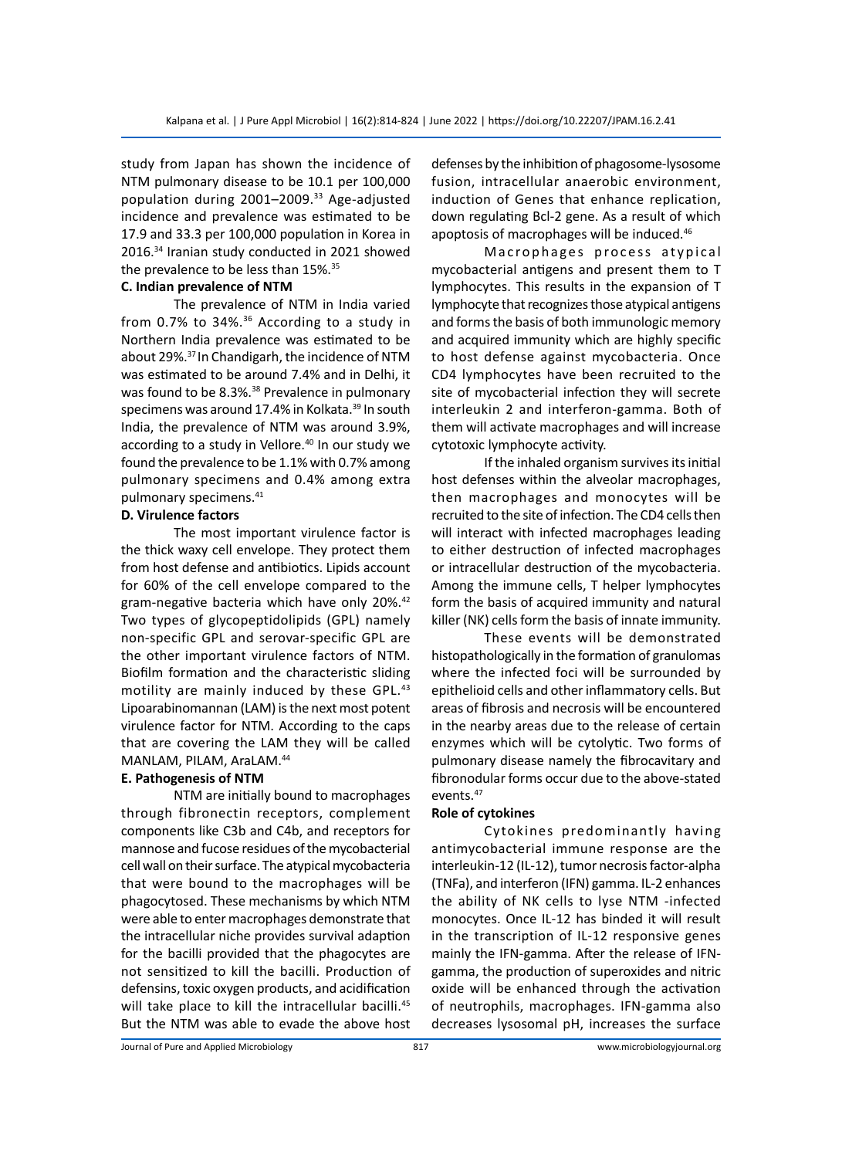study from Japan has shown the incidence of NTM pulmonary disease to be 10.1 per 100,000 population during 2001-2009.<sup>33</sup> Age-adjusted incidence and prevalence was estimated to be 17.9 and 33.3 per 100,000 population in Korea in 2016.34 Iranian study conducted in 2021 showed the prevalence to be less than 15%.35

# **C. Indian prevalence of NTM**

The prevalence of NTM in India varied from 0.7% to 34%.36 According to a study in Northern India prevalence was estimated to be about 29%.37 In Chandigarh, the incidence of NTM was estimated to be around 7.4% and in Delhi, it was found to be 8.3%.<sup>38</sup> Prevalence in pulmonary specimens was around 17.4% in Kolkata.<sup>39</sup> In south India, the prevalence of NTM was around 3.9%, according to a study in Vellore.<sup>40</sup> In our study we found the prevalence to be 1.1% with 0.7% among pulmonary specimens and 0.4% among extra pulmonary specimens.41

#### **D. Virulence factors**

The most important virulence factor is the thick waxy cell envelope. They protect them from host defense and antibiotics. Lipids account for 60% of the cell envelope compared to the gram-negative bacteria which have only 20%.<sup>42</sup> Two types of glycopeptidolipids (GPL) namely non-specific GPL and serovar-specific GPL are the other important virulence factors of NTM. Biofilm formation and the characteristic sliding motility are mainly induced by these GPL.<sup>43</sup> Lipoarabinomannan (LAM) is the next most potent virulence factor for NTM. According to the caps that are covering the LAM they will be called MANLAM, PILAM, AraLAM.<sup>44</sup>

#### **E. Pathogenesis of NTM**

NTM are initially bound to macrophages through fibronectin receptors, complement components like C3b and C4b, and receptors for mannose and fucose residues of the mycobacterial cell wall on their surface. The atypical mycobacteria that were bound to the macrophages will be phagocytosed. These mechanisms by which NTM were able to enter macrophages demonstrate that the intracellular niche provides survival adaption for the bacilli provided that the phagocytes are not sensitized to kill the bacilli. Production of defensins, toxic oxygen products, and acidification will take place to kill the intracellular bacilli.<sup>45</sup> But the NTM was able to evade the above host defenses by the inhibition of phagosome-lysosome fusion, intracellular anaerobic environment, induction of Genes that enhance replication, down regulating Bcl-2 gene. As a result of which apoptosis of macrophages will be induced.<sup>46</sup>

Macrophages process atypical mycobacterial antigens and present them to T lymphocytes. This results in the expansion of T lymphocyte that recognizes those atypical antigens and forms the basis of both immunologic memory and acquired immunity which are highly specific to host defense against mycobacteria. Once CD4 lymphocytes have been recruited to the site of mycobacterial infection they will secrete interleukin 2 and interferon-gamma. Both of them will activate macrophages and will increase cytotoxic lymphocyte activity.

If the inhaled organism survives its initial host defenses within the alveolar macrophages, then macrophages and monocytes will be recruited to the site of infection. The CD4 cells then will interact with infected macrophages leading to either destruction of infected macrophages or intracellular destruction of the mycobacteria. Among the immune cells, T helper lymphocytes form the basis of acquired immunity and natural killer (NK) cells form the basis of innate immunity.

These events will be demonstrated histopathologically in the formation of granulomas where the infected foci will be surrounded by epithelioid cells and other inflammatory cells. But areas of fibrosis and necrosis will be encountered in the nearby areas due to the release of certain enzymes which will be cytolytic. Two forms of pulmonary disease namely the fibrocavitary and fibronodular forms occur due to the above-stated events.47

#### **Role of cytokines**

Cytokines predominantly having antimycobacterial immune response are the interleukin-12 (IL-12), tumor necrosis factor-alpha (TNFa), and interferon (IFN) gamma. IL-2 enhances the ability of NK cells to lyse NTM -infected monocytes. Once IL-12 has binded it will result in the transcription of IL-12 responsive genes mainly the IFN-gamma. After the release of IFNgamma, the production of superoxides and nitric oxide will be enhanced through the activation of neutrophils, macrophages. IFN-gamma also decreases lysosomal pH, increases the surface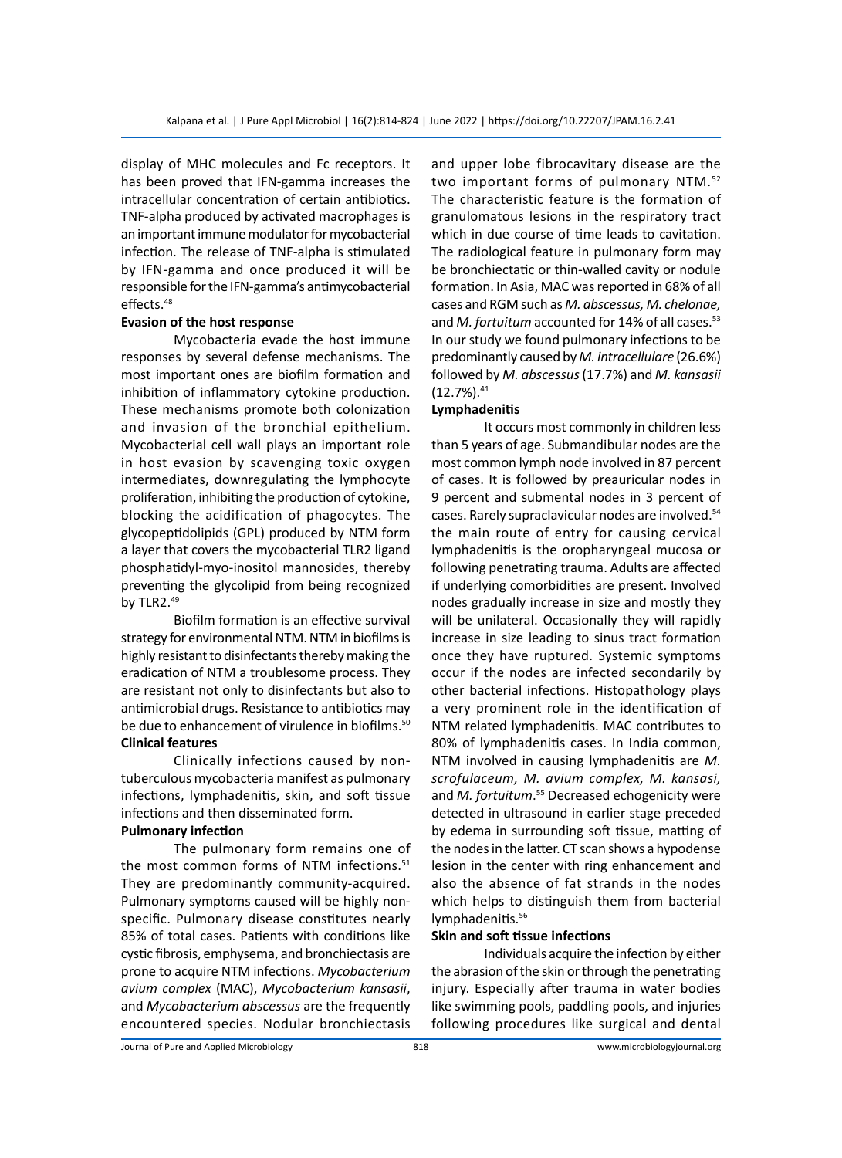display of MHC molecules and Fc receptors. It has been proved that IFN-gamma increases the intracellular concentration of certain antibiotics. TNF-alpha produced by activated macrophages is an important immune modulator for mycobacterial infection. The release of TNF-alpha is stimulated by IFN-gamma and once produced it will be responsible for the IFN-gamma's antimycobacterial effects.<sup>48</sup>

#### **Evasion of the host response**

Mycobacteria evade the host immune responses by several defense mechanisms. The most important ones are biofilm formation and inhibition of inflammatory cytokine production. These mechanisms promote both colonization and invasion of the bronchial epithelium. Mycobacterial cell wall plays an important role in host evasion by scavenging toxic oxygen intermediates, downregulating the lymphocyte proliferation, inhibiting the production of cytokine, blocking the acidification of phagocytes. The glycopeptidolipids (GPL) produced by NTM form a layer that covers the mycobacterial TLR2 ligand phosphatidyl-myo-inositol mannosides, thereby preventing the glycolipid from being recognized by TLR2.49

Biofilm formation is an effective survival strategy for environmental NTM. NTM in biofilms is highly resistant to disinfectants thereby making the eradication of NTM a troublesome process. They are resistant not only to disinfectants but also to antimicrobial drugs. Resistance to antibiotics may be due to enhancement of virulence in biofilms.<sup>50</sup> **Clinical features**

Clinically infections caused by nontuberculous mycobacteria manifest as pulmonary infections, lymphadenitis, skin, and soft tissue infections and then disseminated form.

## **Pulmonary infection**

The pulmonary form remains one of the most common forms of NTM infections.<sup>51</sup> They are predominantly community-acquired. Pulmonary symptoms caused will be highly nonspecific. Pulmonary disease constitutes nearly 85% of total cases. Patients with conditions like cystic fibrosis, emphysema, and bronchiectasis are prone to acquire NTM infections. *Mycobacterium avium complex* (MAC), *Mycobacterium kansasii*, and *Mycobacterium abscessus* are the frequently encountered species. Nodular bronchiectasis and upper lobe fibrocavitary disease are the two important forms of pulmonary NTM.52 The characteristic feature is the formation of granulomatous lesions in the respiratory tract which in due course of time leads to cavitation. The radiological feature in pulmonary form may be bronchiectatic or thin-walled cavity or nodule formation. In Asia, MAC was reported in 68% of all cases and RGM such as *M. abscessus, M. chelonae,*  and *M. fortuitum* accounted for 14% of all cases.<sup>53</sup> In our study we found pulmonary infections to be predominantly caused by *M. intracellulare* (26.6%) followed by *M. abscessus* (17.7%) and *M. kansasii*  $(12.7\%)$ <sup>41</sup>

#### **Lymphadenitis**

It occurs most commonly in children less than 5 years of age. Submandibular nodes are the most common lymph node involved in 87 percent of cases. It is followed by preauricular nodes in 9 percent and submental nodes in 3 percent of cases. Rarely supraclavicular nodes are involved.54 the main route of entry for causing cervical lymphadenitis is the oropharyngeal mucosa or following penetrating trauma. Adults are affected if underlying comorbidities are present. Involved nodes gradually increase in size and mostly they will be unilateral. Occasionally they will rapidly increase in size leading to sinus tract formation once they have ruptured. Systemic symptoms occur if the nodes are infected secondarily by other bacterial infections. Histopathology plays a very prominent role in the identification of NTM related lymphadenitis. MAC contributes to 80% of lymphadenitis cases. In India common, NTM involved in causing lymphadenitis are *M. scrofulaceum, M. avium complex, M. kansasi,*  and *M. fortuitum*. 55 Decreased echogenicity were detected in ultrasound in earlier stage preceded by edema in surrounding soft tissue, matting of the nodes in the latter. CT scan shows a hypodense lesion in the center with ring enhancement and also the absence of fat strands in the nodes which helps to distinguish them from bacterial lymphadenitis.<sup>56</sup>

#### **Skin and soft tissue infections**

Individuals acquire the infection by either the abrasion of the skin or through the penetrating injury. Especially after trauma in water bodies like swimming pools, paddling pools, and injuries following procedures like surgical and dental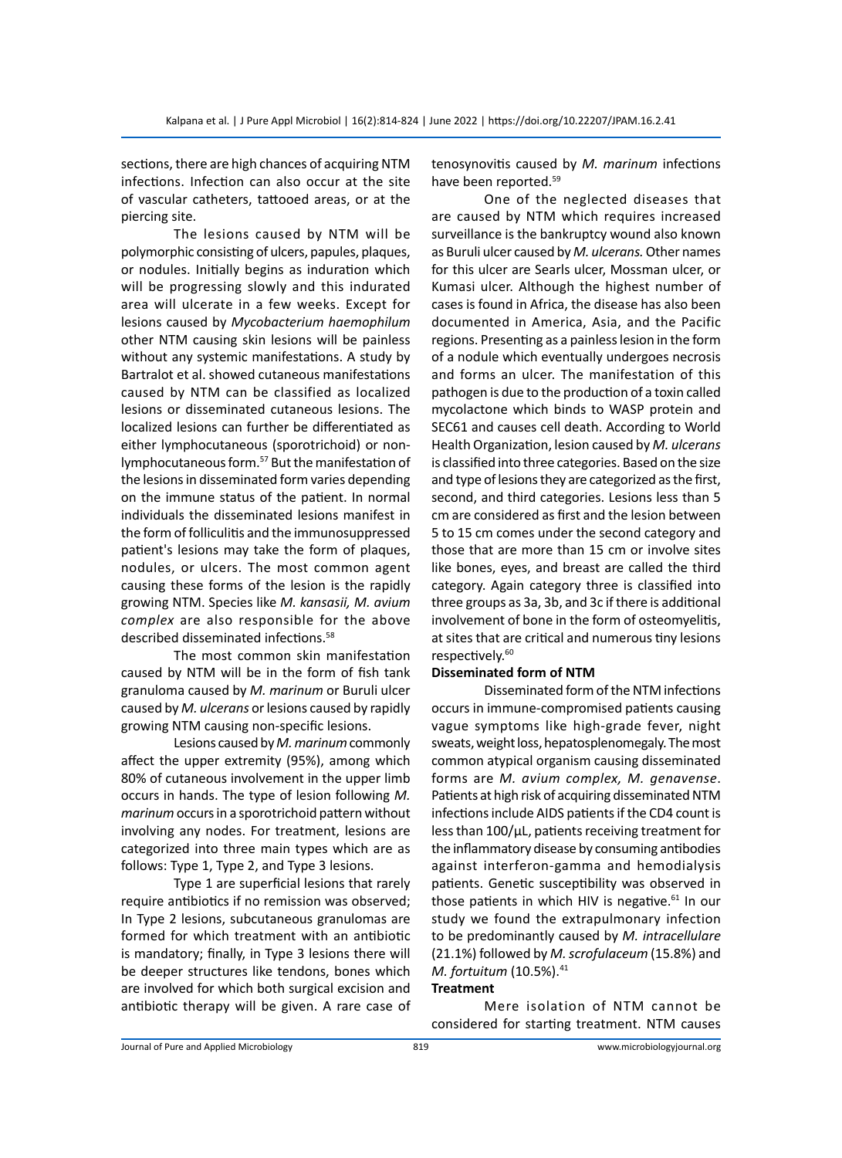sections, there are high chances of acquiring NTM infections. Infection can also occur at the site of vascular catheters, tattooed areas, or at the piercing site.

The lesions caused by NTM will be polymorphic consisting of ulcers, papules, plaques, or nodules. Initially begins as induration which will be progressing slowly and this indurated area will ulcerate in a few weeks. Except for lesions caused by *Mycobacterium haemophilum* other NTM causing skin lesions will be painless without any systemic manifestations. A study by Bartralot et al. showed cutaneous manifestations caused by NTM can be classified as localized lesions or disseminated cutaneous lesions. The localized lesions can further be differentiated as either lymphocutaneous (sporotrichoid) or nonlymphocutaneous form.57 But the manifestation of the lesions in disseminated form varies depending on the immune status of the patient. In normal individuals the disseminated lesions manifest in the form of folliculitis and the immunosuppressed patient's lesions may take the form of plaques, nodules, or ulcers. The most common agent causing these forms of the lesion is the rapidly growing NTM. Species like *M. kansasii, M. avium complex* are also responsible for the above described disseminated infections.<sup>58</sup>

The most common skin manifestation caused by NTM will be in the form of fish tank granuloma caused by *M. marinum* or Buruli ulcer caused by *M. ulcerans* or lesions caused by rapidly growing NTM causing non-specific lesions.

Lesions caused by *M. marinum* commonly affect the upper extremity (95%), among which 80% of cutaneous involvement in the upper limb occurs in hands. The type of lesion following *M. marinum* occurs in a sporotrichoid pattern without involving any nodes. For treatment, lesions are categorized into three main types which are as follows: Type 1, Type 2, and Type 3 lesions.

Type 1 are superficial lesions that rarely require antibiotics if no remission was observed; In Type 2 lesions, subcutaneous granulomas are formed for which treatment with an antibiotic is mandatory; finally, in Type 3 lesions there will be deeper structures like tendons, bones which are involved for which both surgical excision and antibiotic therapy will be given. A rare case of

tenosynovitis caused by *M. marinum* infections have been reported.59

One of the neglected diseases that are caused by NTM which requires increased surveillance is the bankruptcy wound also known as Buruli ulcer caused by *M. ulcerans.* Other names for this ulcer are Searls ulcer, Mossman ulcer, or Kumasi ulcer. Although the highest number of cases is found in Africa, the disease has also been documented in America, Asia, and the Pacific regions. Presenting as a painless lesion in the form of a nodule which eventually undergoes necrosis and forms an ulcer. The manifestation of this pathogen is due to the production of a toxin called mycolactone which binds to WASP protein and SEC61 and causes cell death. According to World Health Organization, lesion caused by *M. ulcerans*  is classified into three categories. Based on the size and type of lesions they are categorized as the first, second, and third categories. Lesions less than 5 cm are considered as first and the lesion between 5 to 15 cm comes under the second category and those that are more than 15 cm or involve sites like bones, eyes, and breast are called the third category. Again category three is classified into three groups as 3a, 3b, and 3c if there is additional involvement of bone in the form of osteomyelitis, at sites that are critical and numerous tiny lesions respectively.<sup>60</sup>

#### **Disseminated form of NTM**

Disseminated form of the NTM infections occurs in immune-compromised patients causing vague symptoms like high-grade fever, night sweats, weight loss, hepatosplenomegaly. The most common atypical organism causing disseminated forms are *M. avium complex, M. genavense*. Patients at high risk of acquiring disseminated NTM infections include AIDS patients if the CD4 count is less than 100/µL, patients receiving treatment for the inflammatory disease by consuming antibodies against interferon-gamma and hemodialysis patients. Genetic susceptibility was observed in those patients in which HIV is negative.<sup>61</sup> In our study we found the extrapulmonary infection to be predominantly caused by *M. intracellulare* (21.1%) followed by *M. scrofulaceum* (15.8%) and *M. fortuitum* (10.5%).<sup>41</sup>

# **Treatment**

Mere isolation of NTM cannot be considered for starting treatment. NTM causes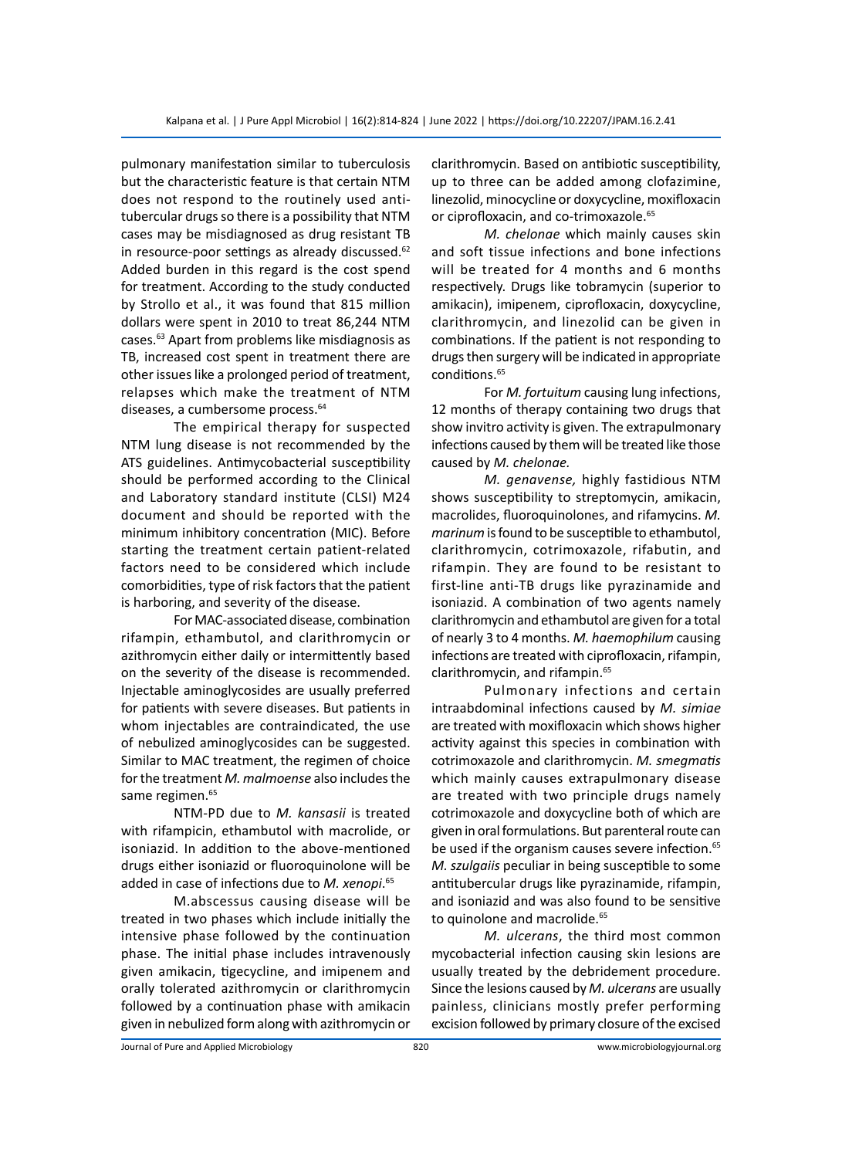pulmonary manifestation similar to tuberculosis but the characteristic feature is that certain NTM does not respond to the routinely used antitubercular drugs so there is a possibility that NTM cases may be misdiagnosed as drug resistant TB in resource-poor settings as already discussed.<sup>62</sup> Added burden in this regard is the cost spend for treatment. According to the study conducted by Strollo et al., it was found that 815 million dollars were spent in 2010 to treat 86,244 NTM cases.63 Apart from problems like misdiagnosis as TB, increased cost spent in treatment there are other issues like a prolonged period of treatment, relapses which make the treatment of NTM diseases, a cumbersome process.<sup>64</sup>

The empirical therapy for suspected NTM lung disease is not recommended by the ATS guidelines. Antimycobacterial susceptibility should be performed according to the Clinical and Laboratory standard institute (CLSI) M24 document and should be reported with the minimum inhibitory concentration (MIC). Before starting the treatment certain patient-related factors need to be considered which include comorbidities, type of risk factors that the patient is harboring, and severity of the disease.

For MAC-associated disease, combination rifampin, ethambutol, and clarithromycin or azithromycin either daily or intermittently based on the severity of the disease is recommended. Injectable aminoglycosides are usually preferred for patients with severe diseases. But patients in whom injectables are contraindicated, the use of nebulized aminoglycosides can be suggested. Similar to MAC treatment, the regimen of choice for the treatment *M. malmoense* also includes the same regimen.<sup>65</sup>

NTM-PD due to *M. kansasii* is treated with rifampicin, ethambutol with macrolide, or isoniazid. In addition to the above-mentioned drugs either isoniazid or fluoroquinolone will be added in case of infections due to *M. xenopi*. 65

M.abscessus causing disease will be treated in two phases which include initially the intensive phase followed by the continuation phase. The initial phase includes intravenously given amikacin, tigecycline, and imipenem and orally tolerated azithromycin or clarithromycin followed by a continuation phase with amikacin given in nebulized form along with azithromycin or clarithromycin. Based on antibiotic susceptibility, up to three can be added among clofazimine, linezolid, minocycline or doxycycline, moxifloxacin or ciprofloxacin, and co-trimoxazole.<sup>65</sup>

*M. chelonae* which mainly causes skin and soft tissue infections and bone infections will be treated for 4 months and 6 months respectively. Drugs like tobramycin (superior to amikacin), imipenem, ciprofloxacin, doxycycline, clarithromycin, and linezolid can be given in combinations. If the patient is not responding to drugs then surgery will be indicated in appropriate conditions.<sup>65</sup>

For *M. fortuitum* causing lung infections, 12 months of therapy containing two drugs that show invitro activity is given. The extrapulmonary infections caused by them will be treated like those caused by *M. chelonae.* 

*M. genavense,* highly fastidious NTM shows susceptibility to streptomycin, amikacin, macrolides, fluoroquinolones, and rifamycins. *M. marinum* is found to be susceptible to ethambutol, clarithromycin, cotrimoxazole, rifabutin, and rifampin. They are found to be resistant to first-line anti-TB drugs like pyrazinamide and isoniazid. A combination of two agents namely clarithromycin and ethambutol are given for a total of nearly 3 to 4 months. *M. haemophilum* causing infections are treated with ciprofloxacin, rifampin, clarithromycin, and rifampin.<sup>65</sup>

Pulmonary infections and certain intraabdominal infections caused by *M. simiae*  are treated with moxifloxacin which shows higher activity against this species in combination with cotrimoxazole and clarithromycin. *M. smegmatis* which mainly causes extrapulmonary disease are treated with two principle drugs namely cotrimoxazole and doxycycline both of which are given in oral formulations. But parenteral route can be used if the organism causes severe infection.<sup>65</sup> *M. szulgaiis* peculiar in being susceptible to some antitubercular drugs like pyrazinamide, rifampin, and isoniazid and was also found to be sensitive to quinolone and macrolide.<sup>65</sup>

*M. ulcerans*, the third most common mycobacterial infection causing skin lesions are usually treated by the debridement procedure. Since the lesions caused by *M. ulcerans* are usually painless, clinicians mostly prefer performing excision followed by primary closure of the excised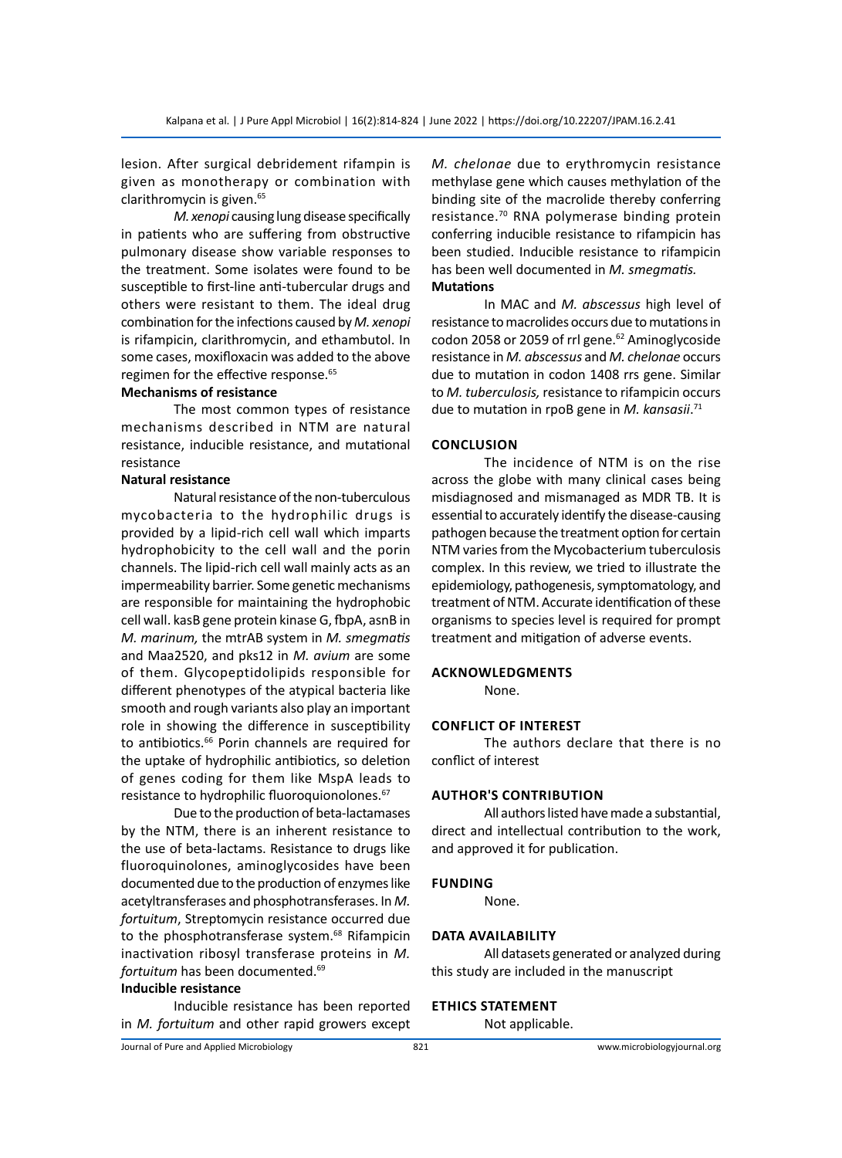lesion. After surgical debridement rifampin is given as monotherapy or combination with clarithromycin is given.<sup>65</sup>

*M. xenopi* causing lung disease specifically in patients who are suffering from obstructive pulmonary disease show variable responses to the treatment. Some isolates were found to be susceptible to first-line anti-tubercular drugs and others were resistant to them. The ideal drug combination for the infections caused by *M. xenopi* is rifampicin, clarithromycin, and ethambutol. In some cases, moxifloxacin was added to the above regimen for the effective response.<sup>65</sup>

# **Mechanisms of resistance**

The most common types of resistance mechanisms described in NTM are natural resistance, inducible resistance, and mutational resistance

#### **Natural resistance**

Natural resistance of the non-tuberculous mycobacteria to the hydrophilic drugs is provided by a lipid-rich cell wall which imparts hydrophobicity to the cell wall and the porin channels. The lipid-rich cell wall mainly acts as an impermeability barrier. Some genetic mechanisms are responsible for maintaining the hydrophobic cell wall. kasB gene protein kinase G, fbpA, asnB in *M. marinum,* the mtrAB system in *M. smegmatis*  and Maa2520, and pks12 in *M. avium* are some of them. Glycopeptidolipids responsible for different phenotypes of the atypical bacteria like smooth and rough variants also play an important role in showing the difference in susceptibility to antibiotics.<sup>66</sup> Porin channels are required for the uptake of hydrophilic antibiotics, so deletion of genes coding for them like MspA leads to resistance to hydrophilic fluoroquionolones.<sup>67</sup>

Due to the production of beta-lactamases by the NTM, there is an inherent resistance to the use of beta-lactams. Resistance to drugs like fluoroquinolones, aminoglycosides have been documented due to the production of enzymes like acetyltransferases and phosphotransferases. In *M. fortuitum*, Streptomycin resistance occurred due to the phosphotransferase system.<sup>68</sup> Rifampicin inactivation ribosyl transferase proteins in *M. fortuitum* has been documented.69

# **Inducible resistance**

Inducible resistance has been reported in *M. fortuitum* and other rapid growers except *M. chelonae* due to erythromycin resistance methylase gene which causes methylation of the binding site of the macrolide thereby conferring resistance.70 RNA polymerase binding protein conferring inducible resistance to rifampicin has been studied. Inducible resistance to rifampicin has been well documented in *M. smegmatis.*  **Mutations**

In MAC and *M. abscessus* high level of resistance to macrolides occurs due to mutations in codon 2058 or 2059 of rrl gene.<sup>62</sup> Aminoglycoside resistance in *M. abscessus* and *M. chelonae* occurs due to mutation in codon 1408 rrs gene. Similar to *M. tuberculosis,* resistance to rifampicin occurs due to mutation in rpoB gene in *M. kansasii*. 71

#### **Conclusion**

The incidence of NTM is on the rise across the globe with many clinical cases being misdiagnosed and mismanaged as MDR TB. It is essential to accurately identify the disease-causing pathogen because the treatment option for certain NTM varies from the Mycobacterium tuberculosis complex. In this review, we tried to illustrate the epidemiology, pathogenesis, symptomatology, and treatment of NTM. Accurate identification of these organisms to species level is required for prompt treatment and mitigation of adverse events.

#### **Acknowledgments**

None.

#### **Conflict of Interest**

The authors declare that there is no conflict of interest

#### **Author's Contribution**

All authors listed have made a substantial, direct and intellectual contribution to the work, and approved it for publication.

#### **Funding**

None.

#### **Data Availability**

All datasets generated or analyzed during this study are included in the manuscript

#### **Ethics Statement**

Not applicable.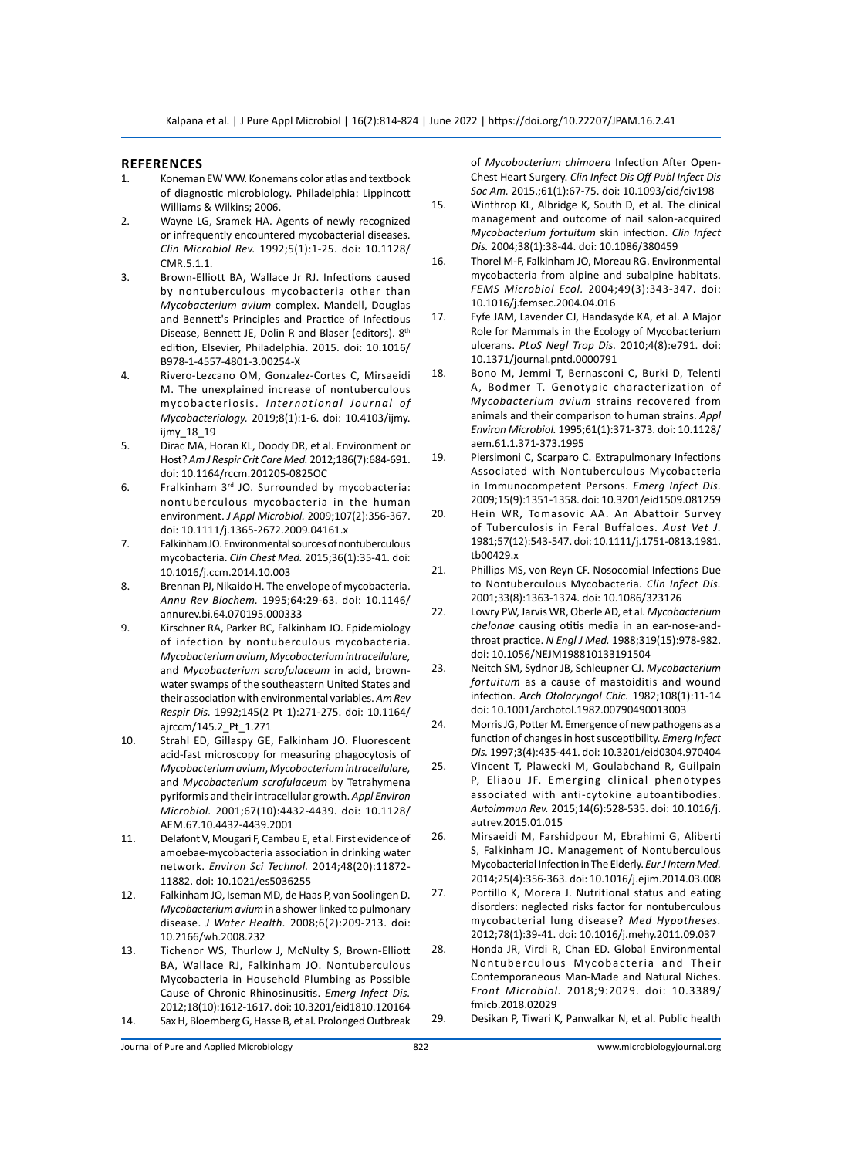#### **References**

- 1. Koneman EW WW. Konemans color atlas and textbook of diagnostic microbiology. Philadelphia: Lippincott Williams & Wilkins; 2006.
- 2. Wayne LG, Sramek HA. Agents of newly recognized or infrequently encountered mycobacterial diseases. *Clin Microbiol Rev.* 1992;5(1):1-25. doi: 10.1128/ CMR.5.1.1.
- 3. Brown-Elliott BA, Wallace Jr RJ. Infections caused by nontuberculous mycobacteria other than *Mycobacterium avium* complex. Mandell, Douglas and Bennett's Principles and Practice of Infectious Disease, Bennett JE, Dolin R and Blaser (editors). 8th edition, Elsevier, Philadelphia. 2015. doi: 10.1016/ B978-1-4557-4801-3.00254-X
- 4. Rivero‑Lezcano OM, Gonzalez‑Cortes C, Mirsaeidi M. The unexplained increase of nontuberculous mycobacteriosis. *International Journal of Mycobacteriology.* 2019;8(1):1-6. doi: 10.4103/ijmy. ijmy\_18\_19
- 5. Dirac MA, Horan KL, Doody DR, et al. Environment or Host? *Am J Respir Crit Care Med.* 2012;186(7):684-691. doi: 10.1164/rccm.201205-0825OC
- 6. Fralkinham  $3^{rd}$  JO. Surrounded by mycobacteria: nontuberculous mycobacteria in the human environment. *J Appl Microbiol.* 2009;107(2):356-367. doi: 10.1111/j.1365-2672.2009.04161.x
- 7. Falkinham JO. Environmental sources of nontuberculous mycobacteria. *Clin Chest Med.* 2015;36(1):35-41. doi: 10.1016/j.ccm.2014.10.003
- 8. Brennan PJ, Nikaido H. The envelope of mycobacteria. *Annu Rev Biochem.* 1995;64:29-63. doi: 10.1146/ annurev.bi.64.070195.000333
- 9. Kirschner RA, Parker BC, Falkinham JO. Epidemiology of infection by nontuberculous mycobacteria. *Mycobacterium avium*, *Mycobacterium intracellulare,*  and *Mycobacterium scrofulaceum* in acid, brownwater swamps of the southeastern United States and their association with environmental variables. *Am Rev Respir Dis.* 1992;145(2 Pt 1):271-275. doi: 10.1164/ ajrccm/145.2\_Pt\_1.271
- 10. Strahl ED, Gillaspy GE, Falkinham JO. Fluorescent acid-fast microscopy for measuring phagocytosis of *Mycobacterium avium*, *Mycobacterium intracellulare,*  and *Mycobacterium scrofulaceum* by Tetrahymena pyriformis and their intracellular growth. *Appl Environ Microbiol.* 2001;67(10):4432-4439. doi: 10.1128/ AEM.67.10.4432-4439.2001
- 11. Delafont V, Mougari F, Cambau E, et al. First evidence of amoebae-mycobacteria association in drinking water network. *Environ Sci Technol.* 2014;48(20):11872- 11882. doi: 10.1021/es5036255
- 12. Falkinham JO, Iseman MD, de Haas P, van Soolingen D. *Mycobacterium avium* in a shower linked to pulmonary disease. *J Water Health.* 2008;6(2):209-213. doi: 10.2166/wh.2008.232
- 13. Tichenor WS, Thurlow J, McNulty S, Brown-Elliott BA, Wallace RJ, Falkinham JO. Nontuberculous Mycobacteria in Household Plumbing as Possible Cause of Chronic Rhinosinusitis. *Emerg Infect Dis.*  2012;18(10):1612-1617. doi: 10.3201/eid1810.120164 14. Sax H, Bloemberg G, Hasse B, et al. Prolonged Outbreak

of *Mycobacterium chimaera* Infection After Open-Chest Heart Surgery. *Clin Infect Dis Off Publ Infect Dis Soc Am.* 2015.;61(1):67-75. doi: 10.1093/cid/civ198

- 15. Winthrop KL, Albridge K, South D, et al. The clinical management and outcome of nail salon-acquired *Mycobacterium fortuitum* skin infection. *Clin Infect Dis.* 2004;38(1):38-44. doi: 10.1086/380459
- 16. Thorel M-F, Falkinham JO, Moreau RG. Environmental mycobacteria from alpine and subalpine habitats. *FEMS Microbiol Ecol.* 2004;49(3):343-347. doi: 10.1016/j.femsec.2004.04.016
- 17. Fyfe JAM, Lavender CJ, Handasyde KA, et al. A Major Role for Mammals in the Ecology of Mycobacterium ulcerans. *PLoS Negl Trop Dis.* 2010;4(8):e791. doi: 10.1371/journal.pntd.0000791
- 18. Bono M, Jemmi T, Bernasconi C, Burki D, Telenti A, Bodmer T. Genotypic characterization of *Mycobacterium avium* strains recovered from animals and their comparison to human strains. *Appl Environ Microbiol.* 1995;61(1):371-373. doi: 10.1128/ aem.61.1.371-373.1995
- 19. Piersimoni C, Scarparo C. Extrapulmonary Infections Associated with Nontuberculous Mycobacteria in Immunocompetent Persons. *Emerg Infect Dis.* 2009;15(9):1351-1358. doi: 10.3201/eid1509.081259
- 20. Hein WR, Tomasovic AA. An Abattoir Survey of Tuberculosis in Feral Buffaloes. *Aust Vet J.* 1981;57(12):543-547. doi: 10.1111/j.1751-0813.1981. tb00429.x
- 21. Phillips MS, von Reyn CF. Nosocomial Infections Due to Nontuberculous Mycobacteria. *Clin Infect Dis.*  2001;33(8):1363-1374. doi: 10.1086/323126
- 22. Lowry PW, Jarvis WR, Oberle AD, et al. *Mycobacterium chelonae* causing otitis media in an ear-nose-andthroat practice. *N Engl J Med.* 1988;319(15):978-982. doi: 10.1056/NEJM198810133191504
- 23. Neitch SM, Sydnor JB, Schleupner CJ. *Mycobacterium fortuitum* as a cause of mastoiditis and wound infection. *Arch Otolaryngol Chic.* 1982;108(1):11-14 doi: 10.1001/archotol.1982.00790490013003
- 24. Morris JG, Potter M. Emergence of new pathogens as a function of changes in host susceptibility. *Emerg Infect Dis.* 1997;3(4):435-441. doi: 10.3201/eid0304.970404
- 25. Vincent T, Plawecki M, Goulabchand R, Guilpain P, Eliaou JF. Emerging clinical phenotypes associated with anti-cytokine autoantibodies. *Autoimmun Rev.* 2015;14(6):528-535. doi: 10.1016/j. autrev.2015.01.015
- 26. Mirsaeidi M, Farshidpour M, Ebrahimi G, Aliberti S, Falkinham JO. Management of Nontuberculous Mycobacterial Infection in The Elderly. *Eur J Intern Med.* 2014;25(4):356-363. doi: 10.1016/j.ejim.2014.03.008
- 27. Portillo K, Morera J. Nutritional status and eating disorders: neglected risks factor for nontuberculous mycobacterial lung disease? *Med Hypotheses.*  2012;78(1):39-41. doi: 10.1016/j.mehy.2011.09.037
- 28. Honda JR, Virdi R, Chan ED. Global Environmental Nontuberculous Mycobacteria and Their Contemporaneous Man-Made and Natural Niches. *Front Microbiol.* 2018;9:2029. doi: 10.3389/ fmicb.2018.02029
- 29. Desikan P, Tiwari K, Panwalkar N, et al. Public health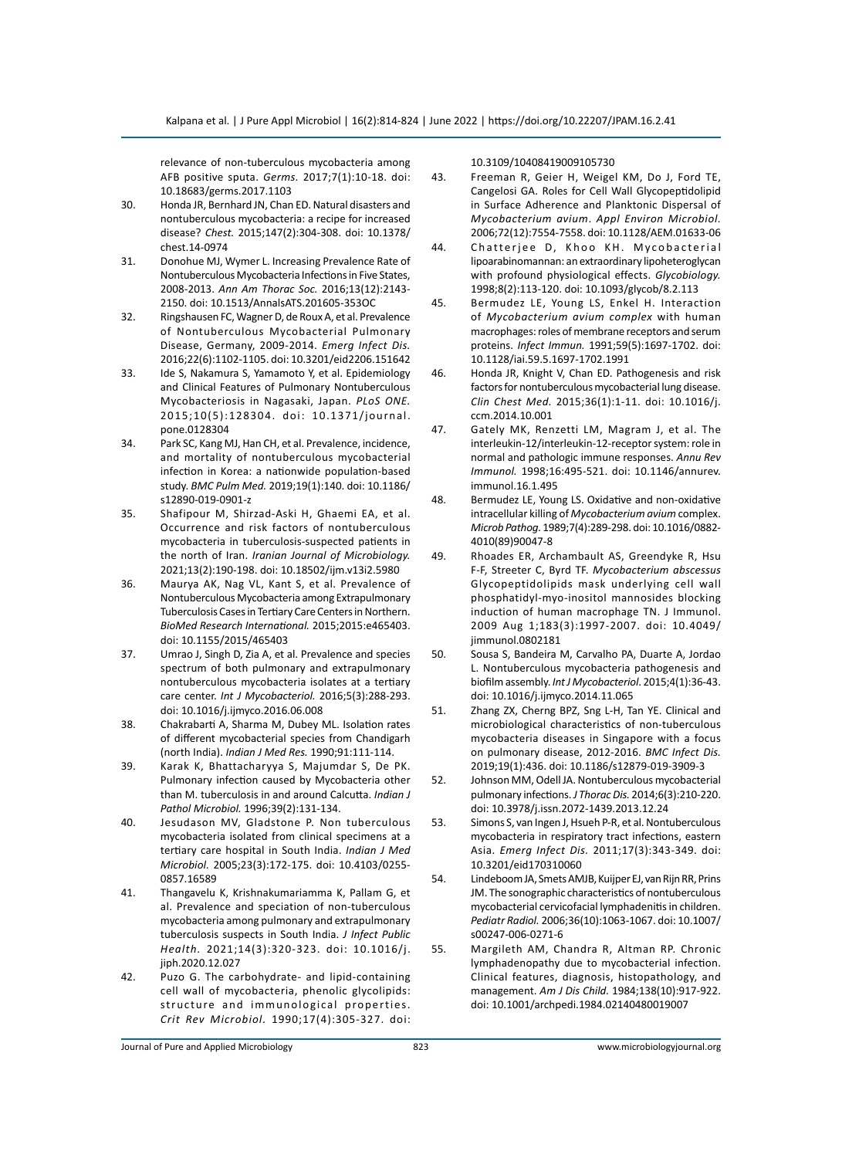relevance of non-tuberculous mycobacteria among AFB positive sputa. *Germs.* 2017;7(1):10-18. doi: 10.18683/germs.2017.1103

- 30. Honda JR, Bernhard JN, Chan ED. Natural disasters and nontuberculous mycobacteria: a recipe for increased disease? *Chest.* 2015;147(2):304-308. doi: 10.1378/ chest.14-0974
- 31. Donohue MJ, Wymer L. Increasing Prevalence Rate of Nontuberculous Mycobacteria Infections in Five States, 2008-2013. *Ann Am Thorac Soc.* 2016;13(12):2143- 2150. doi: 10.1513/AnnalsATS.201605-353OC
- 32. Ringshausen FC, Wagner D, de Roux A, et al. Prevalence of Nontuberculous Mycobacterial Pulmonary Disease, Germany, 2009-2014. *Emerg Infect Dis.* 2016;22(6):1102-1105. doi: 10.3201/eid2206.151642
- 33. Ide S, Nakamura S, Yamamoto Y, et al. Epidemiology and Clinical Features of Pulmonary Nontuberculous Mycobacteriosis in Nagasaki, Japan. *PLoS ONE.* 2015;10(5):128304. doi: 10.1371/journal. pone.0128304
- 34. Park SC, Kang MJ, Han CH, et al. Prevalence, incidence, and mortality of nontuberculous mycobacterial infection in Korea: a nationwide population-based study. *BMC Pulm Med.* 2019;19(1):140. doi: 10.1186/ s12890-019-0901-z
- 35. Shafipour M, Shirzad-Aski H, Ghaemi EA, et al. Occurrence and risk factors of nontuberculous mycobacteria in tuberculosis-suspected patients in the north of Iran. *Iranian Journal of Microbiology.* 2021;13(2):190-198. doi: 10.18502/ijm.v13i2.5980
- 36. Maurya AK, Nag VL, Kant S, et al. Prevalence of Nontuberculous Mycobacteria among Extrapulmonary Tuberculosis Cases in Tertiary Care Centers in Northern. *BioMed Research International.* 2015;2015:e465403. doi: 10.1155/2015/465403
- 37. Umrao J, Singh D, Zia A, et al. Prevalence and species spectrum of both pulmonary and extrapulmonary nontuberculous mycobacteria isolates at a tertiary care center. *Int J Mycobacteriol.* 2016;5(3):288-293. doi: 10.1016/j.ijmyco.2016.06.008
- 38. Chakrabarti A, Sharma M, Dubey ML. Isolation rates of different mycobacterial species from Chandigarh (north India). *Indian J Med Res.* 1990;91:111-114.
- 39. Karak K, Bhattacharyya S, Majumdar S, De PK. Pulmonary infection caused by Mycobacteria other than M. tuberculosis in and around Calcutta. *Indian J Pathol Microbiol.* 1996;39(2):131-134.
- 40. Jesudason MV, Gladstone P. Non tuberculous mycobacteria isolated from clinical specimens at a tertiary care hospital in South India. *Indian J Med Microbiol.* 2005;23(3):172-175. doi: 10.4103/0255- 0857.16589
- 41. Thangavelu K, Krishnakumariamma K, Pallam G, et al. Prevalence and speciation of non-tuberculous mycobacteria among pulmonary and extrapulmonary tuberculosis suspects in South India. *J Infect Public Health.* 2021;14(3):320-323. doi: 10.1016/j. jiph.2020.12.027
- 42. Puzo G. The carbohydrate- and lipid-containing cell wall of mycobacteria, phenolic glycolipids: structure and immunological properties. *Crit Rev Microbiol.* 1990;17(4):305-327. doi:

10.3109/10408419009105730

- 43. Freeman R, Geier H, Weigel KM, Do J, Ford TE, Cangelosi GA. Roles for Cell Wall Glycopeptidolipid in Surface Adherence and Planktonic Dispersal of *Mycobacterium avium*. *Appl Environ Microbiol.* 2006;72(12):7554-7558. doi: 10.1128/AEM.01633-06
- 44. Chatterjee D, Khoo KH. Mycobacterial lipoarabinomannan: an extraordinary lipoheteroglycan with profound physiological effects. *Glycobiology.* 1998;8(2):113-120. doi: 10.1093/glycob/8.2.113
- 45. Bermudez LE, Young LS, Enkel H. Interaction of *Mycobacterium avium complex* with human macrophages: roles of membrane receptors and serum proteins. *Infect Immun.* 1991;59(5):1697-1702. doi: 10.1128/iai.59.5.1697-1702.1991
- 46. Honda JR, Knight V, Chan ED. Pathogenesis and risk factors for nontuberculous mycobacterial lung disease. *Clin Chest Med.* 2015;36(1):1-11. doi: 10.1016/j. ccm.2014.10.001
- 47. Gately MK, Renzetti LM, Magram J, et al. The interleukin-12/interleukin-12-receptor system: role in normal and pathologic immune responses. *Annu Rev Immunol.* 1998;16:495-521. doi: 10.1146/annurev. immunol.16.1.495
- 48. Bermudez LE, Young LS. Oxidative and non-oxidative intracellular killing of *Mycobacterium avium* complex. *Microb Pathog.* 1989;7(4):289-298. doi: 10.1016/0882- 4010(89)90047-8
- 49. Rhoades ER, Archambault AS, Greendyke R, Hsu F-F, Streeter C, Byrd TF. *Mycobacterium abscessus* Glycopeptidolipids mask underlying cell wall phosphatidyl-myo-inositol mannosides blocking induction of human macrophage TN. J Immunol. 2009 Aug 1;183(3):1997-2007. doi: 10.4049/ jimmunol.0802181
- 50. Sousa S, Bandeira M, Carvalho PA, Duarte A, Jordao L. Nontuberculous mycobacteria pathogenesis and biofilm assembly. *Int J Mycobacteriol*. 2015;4(1):36-43. doi: 10.1016/j.ijmyco.2014.11.065
- 51. Zhang ZX, Cherng BPZ, Sng L-H, Tan YE. Clinical and microbiological characteristics of non-tuberculous mycobacteria diseases in Singapore with a focus on pulmonary disease, 2012-2016. *BMC Infect Dis.* 2019;19(1):436. doi: 10.1186/s12879-019-3909-3
- 52. Johnson MM, Odell JA. Nontuberculous mycobacterial pulmonary infections. *J Thorac Dis.* 2014;6(3):210-220. doi: 10.3978/j.issn.2072-1439.2013.12.24
- 53. Simons S, van Ingen J, Hsueh P-R, et al. Nontuberculous mycobacteria in respiratory tract infections, eastern Asia. *Emerg Infect Dis.* 2011;17(3):343-349. doi: 10.3201/eid170310060
- 54. Lindeboom JA, Smets AMJB, Kuijper EJ, van Rijn RR, Prins JM. The sonographic characteristics of nontuberculous mycobacterial cervicofacial lymphadenitis in children. *Pediatr Radiol.* 2006;36(10):1063-1067. doi: 10.1007/ s00247-006-0271-6
- 55. Margileth AM, Chandra R, Altman RP. Chronic lymphadenopathy due to mycobacterial infection. Clinical features, diagnosis, histopathology, and management. *Am J Dis Child.* 1984;138(10):917-922. doi: 10.1001/archpedi.1984.02140480019007

Journal of Pure and Applied Microbiology 823 www.microbiologyjournal.org